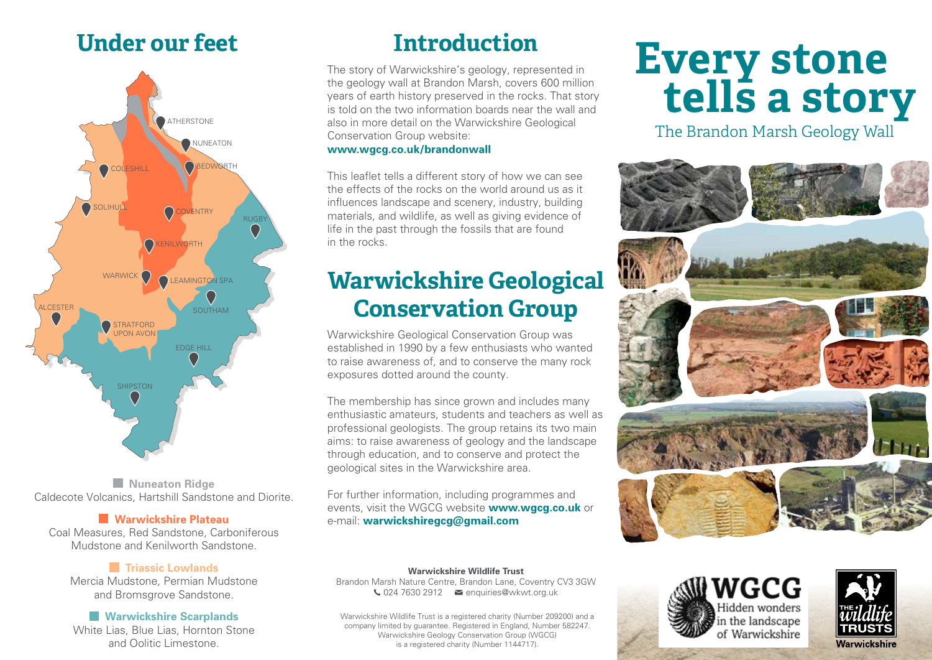## **Under our feet Introduction**



**Nuneaton Ridge** Caldecote Volcanics, Hartshill Sandstone and Diorite.

### **Warwickshire Plateau**

Coal Measures, Red Sandstone, Carboniferous Mudstone and Kenilworth Sandstone.

### **Triassic Lowlands**

Mercia Mudstone, Permian Mudstone and Bromsgrove Sandstone.

### **Warwickshire Scarplands**

White Lias, Blue Lias, Hornton Stone and Oolitic Limestone.

The story of Warwickshire's geology, represented in the geology wall at Brandon Marsh, covers 600 million years of earth history preserved in the rocks. That story is told on the two information boards near the wall and also in more detail on the Warwickshire Geological Conservation Group website:

### **www.wgcg.co.uk/brandonwall**

This leaflet tells a different story of how we can see the effects of the rocks on the world around us as it influences landscape and scenery, industry, building materials, and wildlife, as well as giving evidence of life in the past through the fossils that are found in the rocks.

## **Warwickshire Geological Conservation Group**

Warwickshire Geological Conservation Group was established in 1990 by a few enthusiasts who wanted to raise awareness of, and to conserve the many rock exposures dotted around the county.

The membership has since grown and includes many enthusiastic amateurs, students and teachers as well as professional geologists. The group retains its two main aims: to raise awareness of geology and the landscape through education, and to conserve and protect the geological sites in the Warwickshire area.

For further information, including programmes and events, visit the WGCG website **www.wgcg.co.uk** or e-mail: **warwickshiregcg@gmail.com**

# **Every stone tells a story**

The Brandon Marsh Geology Wall







**Warwickshire Wildlife Trust** Brandon Marsh Nature Centre, Brandon Lane, Coventry CV3 3GW  $\bigcup$  024 7630 2912  $\blacksquare$  enquiries@wkwt.org.uk

Warwickshire Wildlife Trust is a registered charity (Number 209200) and a company limited by guarantee. Registered in England, Number 582247. Warwickshire Geology Conservation Group (WGCG) is a registered charity (Number 1144717).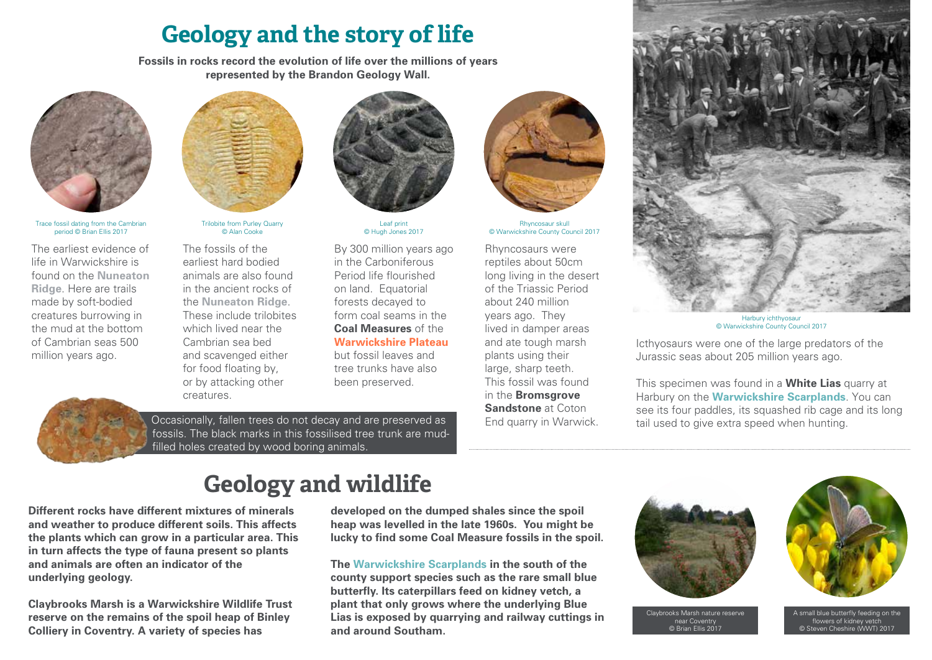## **Geology and the story of life**

**Fossils in rocks record the evolution of life over the millions of years represented by the Brandon Geology Wall.**



Trace fossil dating from the Cambrian period © Brian Ellis 2017

The earliest evidence of life in Warwickshire is found on the **Nuneaton Ridge**. Here are trails made by soft-bodied creatures burrowing in the mud at the bottom of Cambrian seas 500 million years ago.



Trilobite from Purley Quarry © Alan Cooke

The fossils of the earliest hard bodied animals are also found in the ancient rocks of the **Nuneaton Ridge**. These include trilobites which lived near the Cambrian sea bed and scavenged either for food floating by, or by attacking other creatures.



Leaf print © Hugh Jones 2017

By 300 million years ago in the Carboniferous Period life flourished on land. Equatorial forests decayed to form coal seams in the **Coal Measures** of the **Warwickshire Plateau** but fossil leaves and tree trunks have also been preserved.



Rhyncosaur skull © Warwickshire County Council 2017

Rhyncosaurs were reptiles about 50cm long living in the desert of the Triassic Period about 240 million years ago. They lived in damper areas and ate tough marsh plants using their large, sharp teeth. This fossil was found in the **Bromsgrove Sandstone** at Coton End quarry in Warwick.



Harbury ichthyosau © Warwickshire County Council 2017

Icthyosaurs were one of the large predators of the Jurassic seas about 205 million years ago.

This specimen was found in a **White Lias** quarry at Harbury on the **Warwickshire Scarplands**. You can see its four paddles, its squashed rib cage and its long tail used to give extra speed when hunting.



Occasionally, fallen trees do not decay and are preserved as fossils. The black marks in this fossilised tree trunk are mudfilled holes created by wood boring animals.

## **Geology and wildlife**

**Different rocks have different mixtures of minerals and weather to produce different soils. This affects the plants which can grow in a particular area. This in turn affects the type of fauna present so plants and animals are often an indicator of the underlying geology.**

**Claybrooks Marsh is a Warwickshire Wildlife Trust reserve on the remains of the spoil heap of Binley Colliery in Coventry. A variety of species has** 

**developed on the dumped shales since the spoil heap was levelled in the late 1960s. You might be lucky to find some Coal Measure fossils in the spoil.** 

**The Warwickshire Scarplands in the south of the county support species such as the rare small blue butterfly. Its caterpillars feed on kidney vetch, a plant that only grows where the underlying Blue Lias is exposed by quarrying and railway cuttings in and around Southam.**







A small blue butterfly feeding on the flowers of kidney vetch © Steven Cheshire (WWT) 2017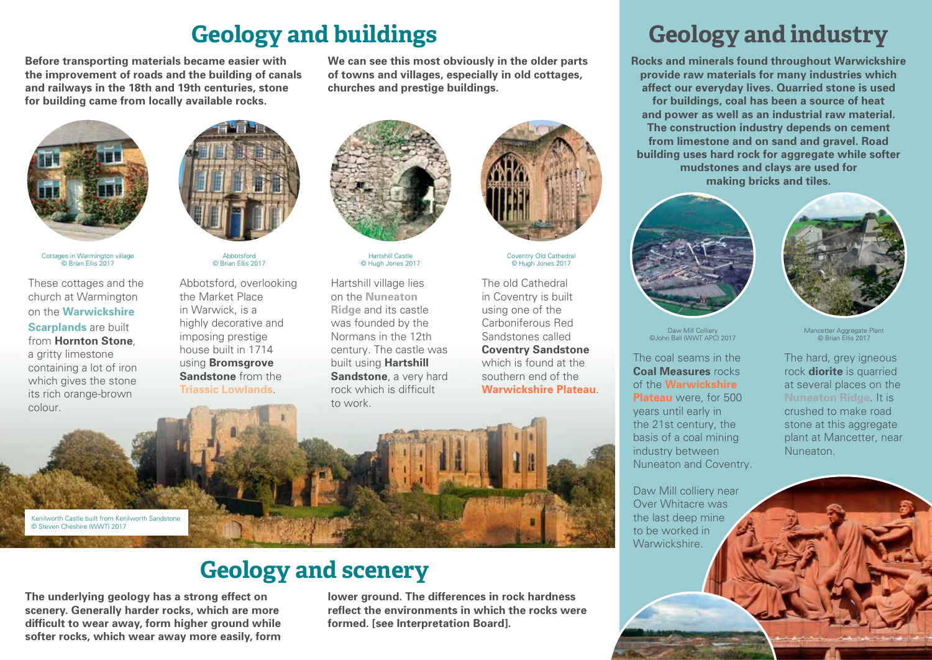## **Geology and buildings**

**Before transporting materials became easier with the improvement of roads and the building of canals and railways in the 18th and 19th centuries, stone for building came from locally available rocks.**





Cottages in Warmington village © Brian Ellis 2017

These cottages and the church at Warmington on the **Warwickshire Scarplands** are built from **Hornton Stone**, a gritty limestone containing a lot of iron which gives the stone its rich orange-brown colour.



Abbotsford © Brian Ellis 2017

Abbotsford, overlooking the Market Place in Warwick, is a highly decorative and imposing prestige house built in 1714 using **Bromsgrove Sandstone** from the **Triassic Lowlands**.



**churches and prestige buildings.**

**We can see this most obviously in the older parts of towns and villages, especially in old cottages,** 

Hartshill Castle © Hugh Jones 2017

Hartshill village lies on the **Nuneaton Ridge** and its castle was founded by the Normans in the 12th century. The castle was built using **Hartshill Sandstone**, a very hard rock which is difficult to work.



Coventry Old Cathedral © Hugh Jones 2017

The old Cathedral in Coventry is built using one of the Carboniferous Red Sandstones called **Coventry Sandstone** which is found at the southern end of the **Warwickshire Plateau**.



## **Geology and scenery**

**The underlying geology has a strong effect on scenery. Generally harder rocks, which are more difficult to wear away, form higher ground while softer rocks, which wear away more easily, form** 

**lower ground. The differences in rock hardness reflect the environments in which the rocks were formed. [see Interpretation Board].**

## **Geology and industry**

**Rocks and minerals found throughout Warwickshire provide raw materials for many industries which affect our everyday lives. Quarried stone is used for buildings, coal has been a source of heat and power as well as an industrial raw material. The construction industry depends on cement from limestone and on sand and gravel. Road building uses hard rock for aggregate while softer mudstones and clays are used for making bricks and tiles.**



Daw Mill Colliery ©John Ball (WWT APC) 2017

The coal seams in the **Coal Measures** rocks of the **Warwickshire Plateau** were, for 500 years until early in the 21st century, the basis of a coal mining industry between Nuneaton and Coventry.

Daw Mill colliery near Over Whitacre was the last deep mine to be worked in Warwickshire.

The hard, grey igneous rock **diorite** is quarried at several places on the **Nuneaton Ridge**. It is Mancetter Aggregate Plant © Brian Ellis 2017

crushed to make road stone at this aggregate plant at Mancetter, near Nuneaton.